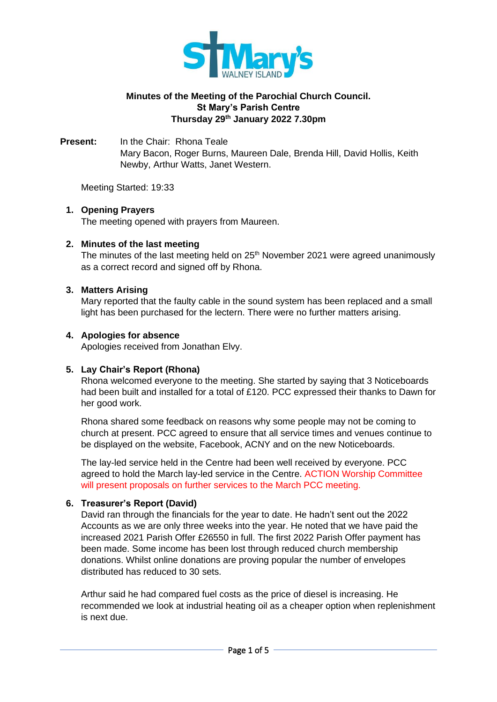

# **Minutes of the Meeting of the Parochial Church Council. St Mary's Parish Centre Thursday 29 th January 2022 7.30pm**

**Present:** In the Chair: Rhona Teale Mary Bacon, Roger Burns, Maureen Dale, Brenda Hill, David Hollis, Keith Newby, Arthur Watts, Janet Western.

Meeting Started: 19:33

# **1. Opening Prayers**

The meeting opened with prayers from Maureen.

## **2. Minutes of the last meeting**

The minutes of the last meeting held on 25<sup>th</sup> November 2021 were agreed unanimously as a correct record and signed off by Rhona.

## **3. Matters Arising**

Mary reported that the faulty cable in the sound system has been replaced and a small light has been purchased for the lectern. There were no further matters arising.

## **4. Apologies for absence**

Apologies received from Jonathan Elvy.

# **5. Lay Chair's Report (Rhona)**

Rhona welcomed everyone to the meeting. She started by saying that 3 Noticeboards had been built and installed for a total of £120. PCC expressed their thanks to Dawn for her good work.

Rhona shared some feedback on reasons why some people may not be coming to church at present. PCC agreed to ensure that all service times and venues continue to be displayed on the website, Facebook, ACNY and on the new Noticeboards.

The lay-led service held in the Centre had been well received by everyone. PCC agreed to hold the March lay-led service in the Centre. ACTION Worship Committee will present proposals on further services to the March PCC meeting.

# **6. Treasurer's Report (David)**

David ran through the financials for the year to date. He hadn't sent out the 2022 Accounts as we are only three weeks into the year. He noted that we have paid the increased 2021 Parish Offer £26550 in full. The first 2022 Parish Offer payment has been made. Some income has been lost through reduced church membership donations. Whilst online donations are proving popular the number of envelopes distributed has reduced to 30 sets.

Arthur said he had compared fuel costs as the price of diesel is increasing. He recommended we look at industrial heating oil as a cheaper option when replenishment is next due.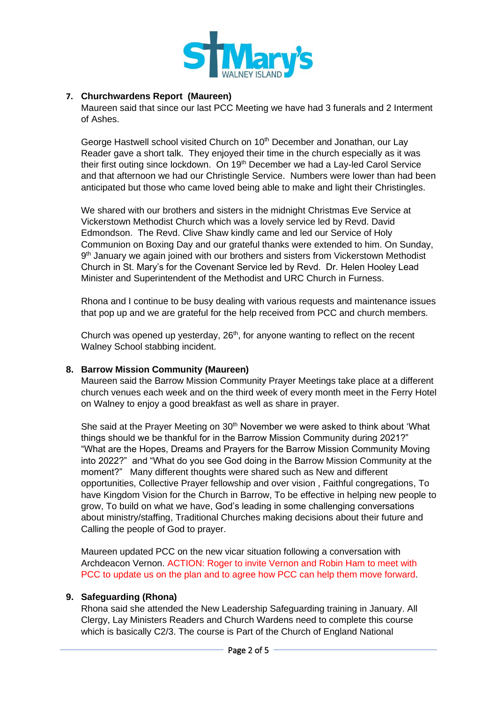

# **7. Churchwardens Report (Maureen)**

Maureen said that since our last PCC Meeting we have had 3 funerals and 2 Interment of Ashes.

George Hastwell school visited Church on 10<sup>th</sup> December and Jonathan, our Lay Reader gave a short talk. They enjoyed their time in the church especially as it was their first outing since lockdown. On 19<sup>th</sup> December we had a Lay-led Carol Service and that afternoon we had our Christingle Service. Numbers were lower than had been anticipated but those who came loved being able to make and light their Christingles.

We shared with our brothers and sisters in the midnight Christmas Eve Service at Vickerstown Methodist Church which was a lovely service led by Revd. David Edmondson. The Revd. Clive Shaw kindly came and led our Service of Holy Communion on Boxing Day and our grateful thanks were extended to him. On Sunday, 9<sup>th</sup> January we again joined with our brothers and sisters from Vickerstown Methodist Church in St. Mary's for the Covenant Service led by Revd. Dr. Helen Hooley Lead Minister and Superintendent of the Methodist and URC Church in Furness.

Rhona and I continue to be busy dealing with various requests and maintenance issues that pop up and we are grateful for the help received from PCC and church members.

Church was opened up yesterday, 26<sup>th</sup>, for anyone wanting to reflect on the recent Walney School stabbing incident.

### **8. Barrow Mission Community (Maureen)**

Maureen said the Barrow Mission Community Prayer Meetings take place at a different church venues each week and on the third week of every month meet in the Ferry Hotel on Walney to enjoy a good breakfast as well as share in prayer.

She said at the Prayer Meeting on  $30<sup>th</sup>$  November we were asked to think about 'What things should we be thankful for in the Barrow Mission Community during 2021?" "What are the Hopes, Dreams and Prayers for the Barrow Mission Community Moving into 2022?" and "What do you see God doing in the Barrow Mission Community at the moment?" Many different thoughts were shared such as New and different opportunities, Collective Prayer fellowship and over vision , Faithful congregations, To have Kingdom Vision for the Church in Barrow, To be effective in helping new people to grow, To build on what we have, God's leading in some challenging conversations about ministry/staffing, Traditional Churches making decisions about their future and Calling the people of God to prayer.

Maureen updated PCC on the new vicar situation following a conversation with Archdeacon Vernon. ACTION: Roger to invite Vernon and Robin Ham to meet with PCC to update us on the plan and to agree how PCC can help them move forward.

### **9. Safeguarding (Rhona)**

Rhona said she attended the New Leadership Safeguarding training in January. All Clergy, Lay Ministers Readers and Church Wardens need to complete this course which is basically C2/3. The course is Part of the Church of England National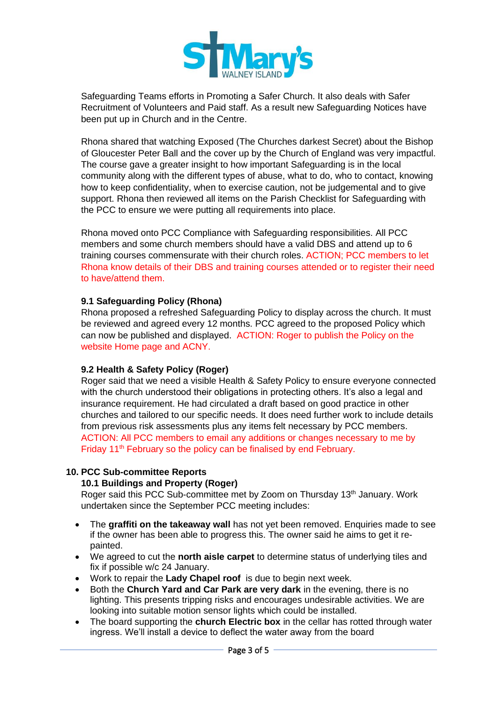

Safeguarding Teams efforts in Promoting a Safer Church. It also deals with Safer Recruitment of Volunteers and Paid staff. As a result new Safeguarding Notices have been put up in Church and in the Centre.

Rhona shared that watching Exposed (The Churches darkest Secret) about the Bishop of Gloucester Peter Ball and the cover up by the Church of England was very impactful. The course gave a greater insight to how important Safeguarding is in the local community along with the different types of abuse, what to do, who to contact, knowing how to keep confidentiality, when to exercise caution, not be judgemental and to give support. Rhona then reviewed all items on the Parish Checklist for Safeguarding with the PCC to ensure we were putting all requirements into place.

Rhona moved onto PCC Compliance with Safeguarding responsibilities. All PCC members and some church members should have a valid DBS and attend up to 6 training courses commensurate with their church roles. ACTION; PCC members to let Rhona know details of their DBS and training courses attended or to register their need to have/attend them.

# **9.1 Safeguarding Policy (Rhona)**

Rhona proposed a refreshed Safeguarding Policy to display across the church. It must be reviewed and agreed every 12 months. PCC agreed to the proposed Policy which can now be published and displayed. ACTION: Roger to publish the Policy on the website Home page and ACNY.

# **9.2 Health & Safety Policy (Roger)**

Roger said that we need a visible Health & Safety Policy to ensure everyone connected with the church understood their obligations in protecting others. It's also a legal and insurance requirement. He had circulated a draft based on good practice in other churches and tailored to our specific needs. It does need further work to include details from previous risk assessments plus any items felt necessary by PCC members. ACTION: All PCC members to email any additions or changes necessary to me by Friday 11<sup>th</sup> February so the policy can be finalised by end February.

# **10. PCC Sub-committee Reports**

### **10.1 Buildings and Property (Roger)**

Roger said this PCC Sub-committee met by Zoom on Thursday 13<sup>th</sup> January. Work undertaken since the September PCC meeting includes:

- The **graffiti on the takeaway wall** has not yet been removed. Enquiries made to see if the owner has been able to progress this. The owner said he aims to get it repainted.
- We agreed to cut the **north aisle carpet** to determine status of underlying tiles and fix if possible w/c 24 January.
- Work to repair the **Lady Chapel roof** is due to begin next week.
- Both the **Church Yard and Car Park are very dark** in the evening, there is no lighting. This presents tripping risks and encourages undesirable activities. We are looking into suitable motion sensor lights which could be installed.
- The board supporting the **church Electric box** in the cellar has rotted through water ingress. We'll install a device to deflect the water away from the board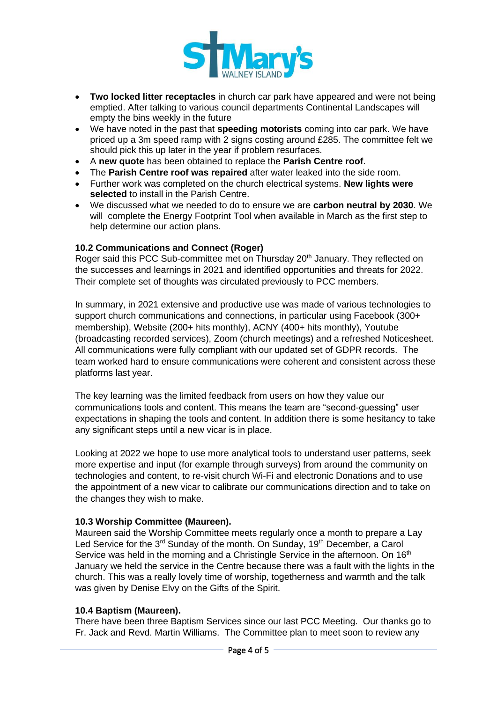

- **Two locked litter receptacles** in church car park have appeared and were not being emptied. After talking to various council departments Continental Landscapes will empty the bins weekly in the future
- We have noted in the past that **speeding motorists** coming into car park. We have priced up a 3m speed ramp with 2 signs costing around £285. The committee felt we should pick this up later in the year if problem resurfaces.
- A **new quote** has been obtained to replace the **Parish Centre roof**.
- The **Parish Centre roof was repaired** after water leaked into the side room.
- Further work was completed on the church electrical systems. **New lights were selected** to install in the Parish Centre.
- We discussed what we needed to do to ensure we are **carbon neutral by 2030**. We will complete the Energy Footprint Tool when available in March as the first step to help determine our action plans.

## **10.2 Communications and Connect (Roger)**

Roger said this PCC Sub-committee met on Thursday 20<sup>th</sup> January. They reflected on the successes and learnings in 2021 and identified opportunities and threats for 2022. Their complete set of thoughts was circulated previously to PCC members.

In summary, in 2021 extensive and productive use was made of various technologies to support church communications and connections, in particular using Facebook (300+ membership), Website (200+ hits monthly), ACNY (400+ hits monthly), Youtube (broadcasting recorded services), Zoom (church meetings) and a refreshed Noticesheet. All communications were fully compliant with our updated set of GDPR records. The team worked hard to ensure communications were coherent and consistent across these platforms last year.

The key learning was the limited feedback from users on how they value our communications tools and content. This means the team are "second-guessing" user expectations in shaping the tools and content. In addition there is some hesitancy to take any significant steps until a new vicar is in place.

Looking at 2022 we hope to use more analytical tools to understand user patterns, seek more expertise and input (for example through surveys) from around the community on technologies and content, to re-visit church Wi-Fi and electronic Donations and to use the appointment of a new vicar to calibrate our communications direction and to take on the changes they wish to make.

# **10.3 Worship Committee (Maureen).**

Maureen said the Worship Committee meets regularly once a month to prepare a Lay Led Service for the 3<sup>rd</sup> Sunday of the month. On Sunday, 19<sup>th</sup> December, a Carol Service was held in the morning and a Christingle Service in the afternoon. On  $16<sup>th</sup>$ January we held the service in the Centre because there was a fault with the lights in the church. This was a really lovely time of worship, togetherness and warmth and the talk was given by Denise Elvy on the Gifts of the Spirit.

### **10.4 Baptism (Maureen).**

There have been three Baptism Services since our last PCC Meeting. Our thanks go to Fr. Jack and Revd. Martin Williams. The Committee plan to meet soon to review any